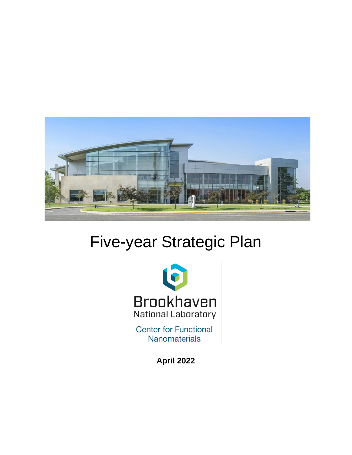

# Five-year Strategic Plan



**Center for Functional** Nanomaterials

**April 2022**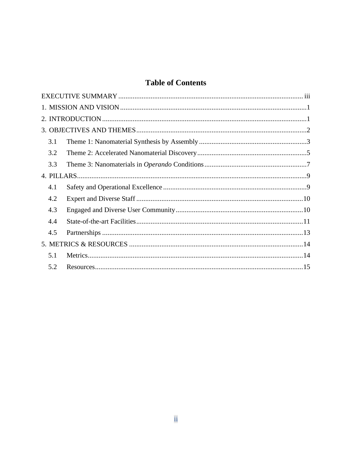## **Table of Contents**

|  | 3.1 |  |  |  |
|--|-----|--|--|--|
|  | 3.2 |  |  |  |
|  | 3.3 |  |  |  |
|  |     |  |  |  |
|  | 4.1 |  |  |  |
|  | 4.2 |  |  |  |
|  | 4.3 |  |  |  |
|  | 4.4 |  |  |  |
|  | 4.5 |  |  |  |
|  |     |  |  |  |
|  | 5.1 |  |  |  |
|  | 5.2 |  |  |  |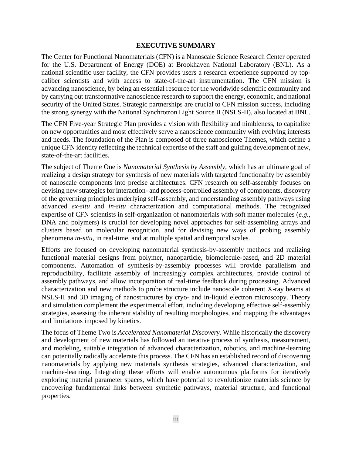#### **EXECUTIVE SUMMARY**

<span id="page-2-0"></span>The Center for Functional Nanomaterials (CFN) is a Nanoscale Science Research Center operated for the U.S. Department of Energy (DOE) at Brookhaven National Laboratory (BNL). As a national scientific user facility, the CFN provides users a research experience supported by topcaliber scientists and with access to state-of-the-art instrumentation. The CFN mission is advancing nanoscience, by being an essential resource for the worldwide scientific community and by carrying out transformative nanoscience research to support the energy, economic, and national security of the United States. Strategic partnerships are crucial to CFN mission success, including the strong synergy with the National Synchrotron Light Source II (NSLS-II), also located at BNL.

The CFN Five-year Strategic Plan provides a vision with flexibility and nimbleness, to capitalize on new opportunities and most effectively serve a nanoscience community with evolving interests and needs. The foundation of the Plan is composed of three nanoscience Themes, which define a unique CFN identity reflecting the technical expertise of the staff and guiding development of new, state-of-the-art facilities.

The subject of Theme One is *Nanomaterial Synthesis by Assembly*, which has an ultimate goal of realizing a design strategy for synthesis of new materials with targeted functionality by assembly of nanoscale components into precise architectures. CFN research on self-assembly focuses on devising new strategies for interaction- and process-controlled assembly of components, discovery of the governing principles underlying self-assembly, and understanding assembly pathways using advanced *ex-situ* and *in-situ* characterization and computational methods. The recognized expertise of CFN scientists in self-organization of nanomaterials with soft matter molecules (*e.g.*, DNA and polymers) is crucial for developing novel approaches for self-assembling arrays and clusters based on molecular recognition, and for devising new ways of probing assembly phenomena *in-situ*, in real-time, and at multiple spatial and temporal scales.

Efforts are focused on developing nanomaterial synthesis-by-assembly methods and realizing functional material designs from polymer, nanoparticle, biomolecule-based, and 2D material components. Automation of synthesis-by-assembly processes will provide parallelism and reproducibility, facilitate assembly of increasingly complex architectures, provide control of assembly pathways, and allow incorporation of real-time feedback during processing. Advanced characterization and new methods to probe structure include nanoscale coherent X-ray beams at NSLS-II and 3D imaging of nanostructures by cryo- and in-liquid electron microscopy. Theory and simulation complement the experimental effort, including developing effective self-assembly strategies, assessing the inherent stability of resulting morphologies, and mapping the advantages and limitations imposed by kinetics.

The focus of Theme Two is *Accelerated Nanomaterial Discovery*. While historically the discovery and development of new materials has followed an iterative process of synthesis, measurement, and modeling, suitable integration of advanced characterization, robotics, and machine-learning can potentially radically accelerate this process. The CFN has an established record of discovering nanomaterials by applying new materials synthesis strategies, advanced characterization, and machine-learning. Integrating these efforts will enable autonomous platforms for iteratively exploring material parameter spaces, which have potential to revolutionize materials science by uncovering fundamental links between synthetic pathways, material structure, and functional properties.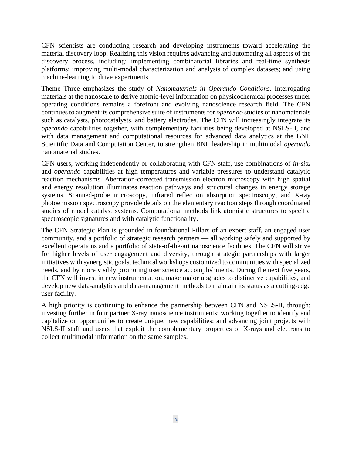CFN scientists are conducting research and developing instruments toward accelerating the material discovery loop. Realizing this vision requires advancing and automating all aspects of the discovery process, including: implementing combinatorial libraries and real-time synthesis platforms; improving multi-modal characterization and analysis of complex datasets; and using machine-learning to drive experiments.

Theme Three emphasizes the study of *Nanomaterials in Operando Conditions*. Interrogating materials at the nanoscale to derive atomic-level information on physicochemical processes under operating conditions remains a forefront and evolving nanoscience research field. The CFN continues to augment its comprehensive suite of instruments for *operando* studies of nanomaterials such as catalysts, photocatalysts, and battery electrodes. The CFN will increasingly integrate its *operando* capabilities together, with complementary facilities being developed at NSLS-II, and with data management and computational resources for advanced data analytics at the BNL Scientific Data and Computation Center, to strengthen BNL leadership in multimodal *operando* nanomaterial studies.

CFN users, working independently or collaborating with CFN staff, use combinations of *in-situ* and *operando* capabilities at high temperatures and variable pressures to understand catalytic reaction mechanisms. Aberration-corrected transmission electron microscopy with high spatial and energy resolution illuminates reaction pathways and structural changes in energy storage systems. Scanned-probe microscopy, infrared reflection absorption spectroscopy, and X-ray photoemission spectroscopy provide details on the elementary reaction steps through coordinated studies of model catalyst systems. Computational methods link atomistic structures to specific spectroscopic signatures and with catalytic functionality.

The CFN Strategic Plan is grounded in foundational Pillars of an expert staff, an engaged user community, and a portfolio of strategic research partners — all working safely and supported by excellent operations and a portfolio of state-of-the-art nanoscience facilities. The CFN will strive for higher levels of user engagement and diversity, through strategic partnerships with larger initiatives with synergistic goals, technical workshops customized to communities with specialized needs, and by more visibly promoting user science accomplishments. During the next five years, the CFN will invest in new instrumentation, make major upgrades to distinctive capabilities, and develop new data-analytics and data-management methods to maintain its status as a cutting-edge user facility.

A high priority is continuing to enhance the partnership between CFN and NSLS-II, through: investing further in four partner X-ray nanoscience instruments; working together to identify and capitalize on opportunities to create unique, new capabilities; and advancing joint projects with NSLS-II staff and users that exploit the complementary properties of X-rays and electrons to collect multimodal information on the same samples.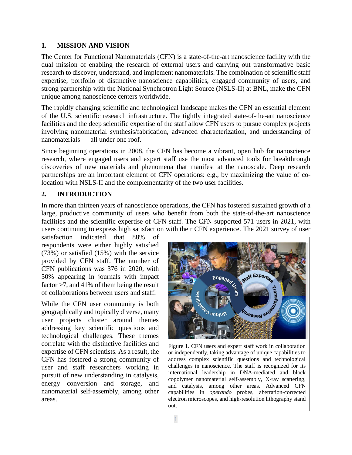#### <span id="page-4-0"></span>**1. MISSION AND VISION**

The Center for Functional Nanomaterials (CFN) is a state-of-the-art nanoscience facility with the dual mission of enabling the research of external users and carrying out transformative basic research to discover, understand, and implement nanomaterials. The combination of scientific staff expertise, portfolio of distinctive nanoscience capabilities, engaged community of users, and strong partnership with the National Synchrotron Light Source (NSLS-II) at BNL, make the CFN unique among nanoscience centers worldwide.

The rapidly changing scientific and technological landscape makes the CFN an essential element of the U.S. scientific research infrastructure. The tightly integrated state-of-the-art nanoscience facilities and the deep scientific expertise of the staff allow CFN users to pursue complex projects involving nanomaterial synthesis/fabrication, advanced characterization, and understanding of nanomaterials — all under one roof.

Since beginning operations in 2008, the CFN has become a vibrant, open hub for nanoscience research, where engaged users and expert staff use the most advanced tools for breakthrough discoveries of new materials and phenomena that manifest at the nanoscale. Deep research partnerships are an important element of CFN operations: e.g., by maximizing the value of colocation with NSLS-II and the complementarity of the two user facilities.

## <span id="page-4-1"></span>**2. INTRODUCTION**

In more than thirteen years of nanoscience operations, the CFN has fostered sustained growth of a large, productive community of users who benefit from both the state-of-the-art nanoscience facilities and the scientific expertise of CFN staff. The CFN supported 571 users in 2021, with users continuing to express high satisfaction with their CFN experience. The 2021 survey of user

satisfaction indicated that 88% of respondents were either highly satisfied (73%) or satisfied (15%) with the service provided by CFN staff. The number of CFN publications was 376 in 2020, with 50% appearing in journals with impact factor >7, and 41% of them being the result of collaborations between users and staff.

While the CFN user community is both geographically and topically diverse, many user projects cluster around themes addressing key scientific questions and technological challenges. These themes correlate with the distinctive facilities and expertise of CFN scientists. As a result, the CFN has fostered a strong community of user and staff researchers working in pursuit of new understanding in catalysis, energy conversion and storage, and nanomaterial self-assembly, among other areas.



Figure 1. CFN users and expert staff work in collaboration or independently, taking advantage of unique capabilities to address complex scientific questions and technological challenges in nanoscience. The staff is recognized for its international leadership in DNA-mediated and block copolymer nanomaterial self-assembly, X-ray scattering, and catalysis, among other areas. Advanced CFN capabilities in *operando* probes, aberration-corrected electron microscopes, and high-resolution lithography stand out.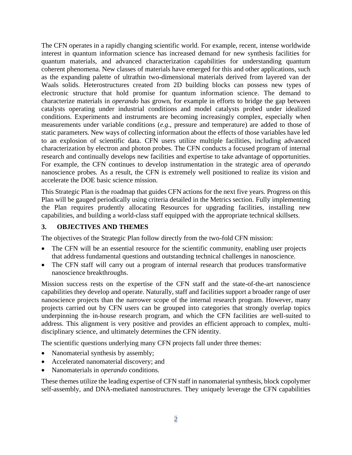The CFN operates in a rapidly changing scientific world. For example, recent, intense worldwide interest in quantum information science has increased demand for new synthesis facilities for quantum materials, and advanced characterization capabilities for understanding quantum coherent phenomena. New classes of materials have emerged for this and other applications, such as the expanding palette of ultrathin two-dimensional materials derived from layered van der Waals solids. Heterostructures created from 2D building blocks can possess new types of electronic structure that hold promise for quantum information science. The demand to characterize materials in *operando* has grown, for example in efforts to bridge the gap between catalysts operating under industrial conditions and model catalysts probed under idealized conditions. Experiments and instruments are becoming increasingly complex, especially when measurements under variable conditions (*e.g.*, pressure and temperature) are added to those of static parameters. New ways of collecting information about the effects of those variables have led to an explosion of scientific data. CFN users utilize multiple facilities, including advanced characterization by electron and photon probes. The CFN conducts a focused program of internal research and continually develops new facilities and expertise to take advantage of opportunities. For example, the CFN continues to develop instrumentation in the strategic area of *operando* nanoscience probes. As a result, the CFN is extremely well positioned to realize its vision and accelerate the DOE basic science mission.

This Strategic Plan is the roadmap that guides CFN actions for the next five years. Progress on this Plan will be gauged periodically using criteria detailed in the Metrics section. Fully implementing the Plan requires prudently allocating Resources for upgrading facilities, installing new capabilities, and building a world-class staff equipped with the appropriate technical skillsets.

#### <span id="page-5-0"></span>**3. OBJECTIVES AND THEMES**

The objectives of the Strategic Plan follow directly from the two-fold CFN mission:

- The CFN will be an essential resource for the scientific community, enabling user projects that address fundamental questions and outstanding technical challenges in nanoscience.
- The CFN staff will carry out a program of internal research that produces transformative nanoscience breakthroughs.

Mission success rests on the expertise of the CFN staff and the state-of-the-art nanoscience capabilities they develop and operate. Naturally, staff and facilities support a broader range of user nanoscience projects than the narrower scope of the internal research program. However, many projects carried out by CFN users can be grouped into categories that strongly overlap topics underpinning the in-house research program, and which the CFN facilities are well-suited to address. This alignment is very positive and provides an efficient approach to complex, multidisciplinary science, and ultimately determines the CFN identity.

The scientific questions underlying many CFN projects fall under three themes:

- Nanomaterial synthesis by assembly;
- Accelerated nanomaterial discovery; and
- Nanomaterials in *operando* conditions.

These themes utilize the leading expertise of CFN staff in nanomaterial synthesis, block copolymer self-assembly, and DNA-mediated nanostructures. They uniquely leverage the CFN capabilities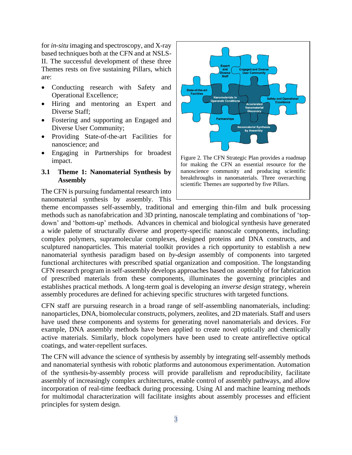for *in-situ* imaging and spectroscopy, and X-ray based techniques both at the CFN and at NSLS-II. The successful development of these three Themes rests on five sustaining Pillars, which are:

- Conducting research with Safety and Operational Excellence;
- Hiring and mentoring an Expert and Diverse Staff;
- Fostering and supporting an Engaged and Diverse User Community;
- Providing State-of-the-art Facilities for nanoscience; and
- Engaging in Partnerships for broadest impact.

#### <span id="page-6-0"></span>**3.1 Theme 1: Nanomaterial Synthesis by Assembly**

The CFN is pursuing fundamental research into nanomaterial synthesis by assembly. This



scientific Themes are supported by five Pillars.

theme encompasses self-assembly, traditional and emerging thin-film and bulk processing methods such as nanofabrication and 3D printing, nanoscale templating and combinations of 'topdown' and 'bottom-up' methods. Advances in chemical and biological synthesis have generated a wide palette of structurally diverse and property-specific nanoscale components, including: complex polymers, supramolecular complexes, designed proteins and DNA constructs, and sculptured nanoparticles. This material toolkit provides a rich opportunity to establish a new nanomaterial synthesis paradigm based on *by-design* assembly of components into targeted functional architectures with prescribed spatial organization and composition. The longstanding CFN research program in self-assembly develops approaches based on assembly of for fabrication of prescribed materials from these components, illuminates the governing principles and establishes practical methods. A long-term goal is developing an *inverse design* strategy, wherein assembly procedures are defined for achieving specific structures with targeted functions.

CFN staff are pursuing research in a broad range of self-assembling nanomaterials, including: nanoparticles, DNA, biomolecular constructs, polymers, zeolites, and 2D materials. Staff and users have used these components and systems for generating novel nanomaterials and devices. For example, DNA assembly methods have been applied to create novel optically and chemically active materials. Similarly, block copolymers have been used to create antireflective optical coatings, and water-repellent surfaces.

The CFN will advance the science of synthesis by assembly by integrating self-assembly methods and nanomaterial synthesis with robotic platforms and autonomous experimentation. Automation of the synthesis-by-assembly process will provide parallelism and reproducibility, facilitate assembly of increasingly complex architectures, enable control of assembly pathways, and allow incorporation of real-time feedback during processing. Using AI and machine learning methods for multimodal characterization will facilitate insights about assembly processes and efficient principles for system design.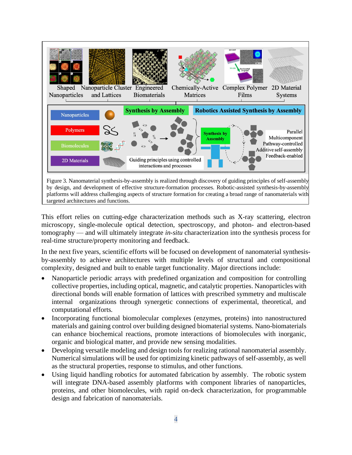

This effort relies on cutting-edge characterization methods such as X-ray scattering, electron microscopy, single-molecule optical detection, spectroscopy, and photon- and electron-based tomography — and will ultimately integrate *in-situ* characterization into the synthesis process for real-time structure/property monitoring and feedback.

In the next five years, scientific efforts will be focused on development of nanomaterial synthesisby-assembly to achieve architectures with multiple levels of structural and compositional complexity, designed and built to enable target functionality. Major directions include:

- Nanoparticle periodic arrays with predefined organization and composition for controlling collective properties, including optical, magnetic, and catalytic properties. Nanoparticles with directional bonds will enable formation of lattices with prescribed symmetry and multiscale internal organizations through synergetic connections of experimental, theoretical, and computational efforts.
- Incorporating functional biomolecular complexes (enzymes, proteins) into nanostructured materials and gaining control over building designed biomaterial systems. Nano-biomaterials can enhance biochemical reactions, promote interactions of biomolecules with inorganic, organic and biological matter, and provide new sensing modalities.
- Developing versatile modeling and design tools for realizing rational nanomaterial assembly. Numerical simulations will be used for optimizing kinetic pathways of self-assembly, as well as the structural properties, response to stimulus, and other functions.
- Using liquid handling robotics for automated fabrication by assembly. The robotic system will integrate DNA-based assembly platforms with component libraries of nanoparticles, proteins, and other biomolecules, with rapid on-deck characterization, for programmable design and fabrication of nanomaterials.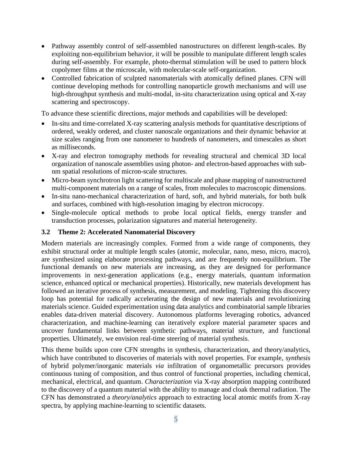- Pathway assembly control of self-assembled nanostructures on different length-scales. By exploiting non-equilibrium behavior, it will be possible to manipulate different length scales during self-assembly. For example, photo-thermal stimulation will be used to pattern block copolymer films at the microscale, with molecular-scale self-organization.
- Controlled fabrication of sculpted nanomaterials with atomically defined planes. CFN will continue developing methods for controlling nanoparticle growth mechanisms and will use high-throughput synthesis and multi-modal, in-situ characterization using optical and X-ray scattering and spectroscopy.

To advance these scientific directions, major methods and capabilities will be developed:

- In-situ and time-correlated X-ray scattering analysis methods for quantitative descriptions of ordered, weakly ordered, and cluster nanoscale organizations and their dynamic behavior at size scales ranging from one nanometer to hundreds of nanometers, and timescales as short as milliseconds.
- X-ray and electron tomography methods for revealing structural and chemical 3D local organization of nanoscale assemblies using photon- and electron-based approaches with subnm spatial resolutions of micron-scale structures.
- Micro-beam synchrotron light scattering for multiscale and phase mapping of nanostructured multi-component materials on a range of scales, from molecules to macroscopic dimensions.
- In-situ nano-mechanical characterization of hard, soft, and hybrid materials, for both bulk and surfaces, combined with high-resolution imaging by electron microcopy.
- Single-molecule optical methods to probe local optical fields, energy transfer and transduction processes, polarization signatures and material heterogeneity.

#### <span id="page-8-0"></span>**3.2 Theme 2: Accelerated Nanomaterial Discovery**

Modern materials are increasingly complex. Formed from a wide range of components, they exhibit structural order at multiple length scales (atomic, molecular, nano, meso, micro, macro), are synthesized using elaborate processing pathways, and are frequently non-equilibrium. The functional demands on new materials are increasing, as they are designed for performance improvements in next-generation applications (e.g., energy materials, quantum information science, enhanced optical or mechanical properties). Historically, new materials development has followed an iterative process of synthesis, measurement, and modeling. Tightening this discovery loop has potential for radically accelerating the design of new materials and revolutionizing materials science. Guided experimentation using data analytics and combinatorial sample libraries enables data-driven material discovery. Autonomous platforms leveraging robotics, advanced characterization, and machine-learning can iteratively explore material parameter spaces and uncover fundamental links between synthetic pathways, material structure, and functional properties. Ultimately, we envision real-time steering of material synthesis.

This theme builds upon core CFN strengths in synthesis, characterization, and theory/analytics, which have contributed to discoveries of materials with novel properties. For example, *synthesis* of hybrid polymer/inorganic materials *via* infiltration of organometallic precursors provides continuous tuning of composition, and thus control of functional properties, including chemical, mechanical, electrical, and quantum. *Characterization* via X-ray absorption mapping contributed to the discovery of a quantum material with the ability to manage and cloak thermal radiation. The CFN has demonstrated a *theory/analytics* approach to extracting local atomic motifs from X-ray spectra, by applying machine-learning to scientific datasets.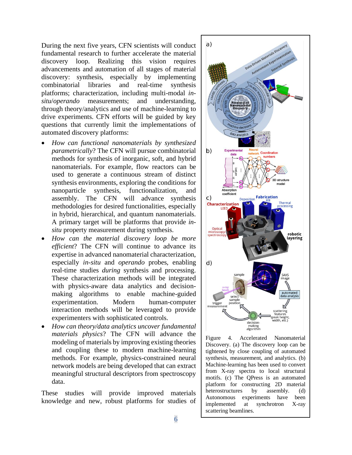During the next five years, CFN scientists will conduct fundamental research to further accelerate the material discovery loop. Realizing this vision requires advancements and automation of all stages of material discovery: synthesis, especially by implementing combinatorial libraries and real-time synthesis platforms; characterization, including multi-modal *insitu*/*operando* measurements; and understanding, through theory/analytics and use of machine-learning to drive experiments. CFN efforts will be guided by key questions that currently limit the implementations of automated discovery platforms:

- *How can functional nanomaterials by synthesized parametrically*? The CFN will pursue combinatorial methods for synthesis of inorganic, soft, and hybrid nanomaterials. For example, flow reactors can be used to generate a continuous stream of distinct synthesis environments, exploring the conditions for nanoparticle synthesis, functionalization, and assembly. The CFN will advance synthesis methodologies for desired functionalities, especially in hybrid, hierarchical, and quantum nanomaterials. A primary target will be platforms that provide *insitu* property measurement during synthesis.
- *How can the material discovery loop be more efficient*? The CFN will continue to advance its expertise in advanced nanomaterial characterization, especially *in-situ* and *operando* probes, enabling real-time studies *during* synthesis and processing. These characterization methods will be integrated with physics-aware data analytics and decisionmaking algorithms to enable machine-guided experimentation. Modern human-computer interaction methods will be leveraged to provide experimenters with sophisticated controls.
- *How can theory/data analytics uncover fundamental materials physics*? The CFN will advance the modeling of materials by improving existing theories and coupling these to modern machine-learning methods. For example, physics-constrained neural network models are being developed that can extract meaningful structural descriptors from spectroscopy data.

These studies will provide improved materials knowledge and new, robust platforms for studies of



Figure 4. Accelerated Nanomaterial Discovery. (a) The discovery loop can be tightened by close coupling of automated synthesis, measurement, and analytics. (b) Machine-learning has been used to convert from X-ray spectra to local structural motifs. (c) The QPress is an automated platform for constructing 2D material heterostructures by assembly. (d) Autonomous experiments have been implemented at synchrotron X-ray scattering beamlines.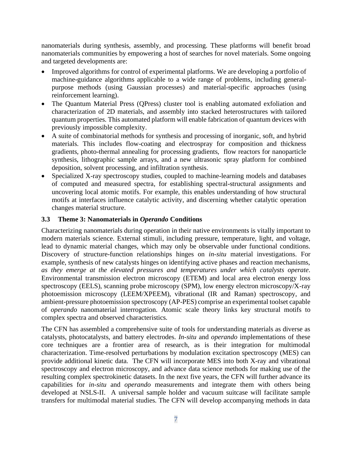nanomaterials during synthesis, assembly, and processing. These platforms will benefit broad nanomaterials communities by empowering a host of searches for novel materials. Some ongoing and targeted developments are:

- Improved algorithms for control of experimental platforms. We are developing a portfolio of machine-guidance algorithms applicable to a wide range of problems, including generalpurpose methods (using Gaussian processes) and material-specific approaches (using reinforcement learning).
- The Quantum Material Press (QPress) cluster tool is enabling automated exfoliation and characterization of 2D materials, and assembly into stacked heterostructures with tailored quantum properties. This automated platform will enable fabrication of quantum devices with previously impossible complexity.
- A suite of combinatorial methods for synthesis and processing of inorganic, soft, and hybrid materials. This includes flow-coating and electrospray for composition and thickness gradients, photo-thermal annealing for processing gradients, flow reactors for nanoparticle synthesis, lithographic sample arrays, and a new ultrasonic spray platform for combined deposition, solvent processing, and infiltration synthesis.
- Specialized X-ray spectroscopy studies, coupled to machine-learning models and databases of computed and measured spectra, for establishing spectral-structural assignments and uncovering local atomic motifs. For example, this enables understanding of how structural motifs at interfaces influence catalytic activity, and discerning whether catalytic operation changes material structure.

#### <span id="page-10-0"></span>**3.3 Theme 3: Nanomaterials in** *Operando* **Conditions**

Characterizing nanomaterials during operation in their native environments is vitally important to modern materials science. External stimuli, including pressure, temperature, light, and voltage, lead to dynamic material changes, which may only be observable under functional conditions. Discovery of structure-function relationships hinges on *in-situ* material investigations. For example, synthesis of new catalysts hinges on identifying active phases and reaction mechanisms, *as they emerge at the elevated pressures and temperatures under which catalysts operate*. Environmental transmission electron microscopy (ETEM) and local area electron energy loss spectroscopy (EELS), scanning probe microscopy (SPM), low energy electron microscopy/X-ray photoemission microscopy (LEEM/XPEEM), vibrational (IR and Raman) spectroscopy, and ambient-pressure photoemission spectroscopy (AP-PES) comprise an experimental toolset capable of *operando* nanomaterial interrogation. Atomic scale theory links key structural motifs to complex spectra and observed characteristics.

The CFN has assembled a comprehensive suite of tools for understanding materials as diverse as catalysts, photocatalysts, and battery electrodes. *In-situ* and *operando* implementations of these core techniques are a frontier area of research, as is their integration for multimodal characterization. Time-resolved perturbations by modulation excitation spectroscopy (MES) can provide additional kinetic data. The CFN will incorporate MES into both X-ray and vibrational spectroscopy and electron microscopy, and advance data science methods for making use of the resulting complex spectrokinetic datasets. In the next five years, the CFN will further advance its capabilities for *in-situ* and *operando* measurements and integrate them with others being developed at NSLS-II. A universal sample holder and vacuum suitcase will facilitate sample transfers for multimodal material studies. The CFN will develop accompanying methods in data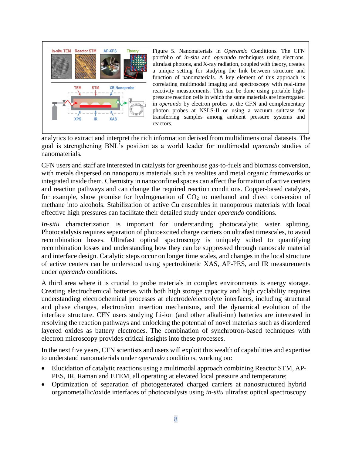

Figure 5. Nanomaterials in *Operando* Conditions. The CFN portfolio of *in-situ* and *operando* techniques using electrons, ultrafast photons, and X-ray radiation, coupled with theory, creates a unique setting for studying the link between structure and function of nanomaterials. A key element of this approach is correlating multimodal imaging and spectroscopy with real-time reactivity measurements. This can be done using portable highpressure reaction cells in which the same materials are interrogated in *operando* by electron probes at the CFN and complementary photon probes at NSLS-II or using a vacuum suitcase for transferring samples among ambient pressure systems and reactors.

analytics to extract and interpret the rich information derived from multidimensional datasets. The goal is strengthening BNL's position as a world leader for multimodal *operando* studies of nanomaterials.

CFN users and staff are interested in catalysts for greenhouse gas-to-fuels and biomass conversion, with metals dispersed on nanoporous materials such as zeolites and metal organic frameworks or integrated inside them. Chemistry in nanoconfined spaces can affect the formation of active centers and reaction pathways and can change the required reaction conditions. Copper-based catalysts, for example, show promise for hydrogenation of  $CO<sub>2</sub>$  to methanol and direct conversion of methane into alcohols. Stabilization of active Cu ensembles in nanoporous materials with local effective high pressures can facilitate their detailed study under *operando* conditions.

*In-situ* characterization is important for understanding photocatalytic water splitting. Photocatalysis requires separation of photoexcited charge carriers on ultrafast timescales, to avoid recombination losses. Ultrafast optical spectroscopy is uniquely suited to quantifying recombination losses and understanding how they can be suppressed through nanoscale material and interface design. Catalytic steps occur on longer time scales, and changes in the local structure of active centers can be understood using spectrokinetic XAS, AP-PES, and IR measurements under *operando* conditions.

A third area where it is crucial to probe materials in complex environments is energy storage. Creating electrochemical batteries with both high storage capacity and high cyclability requires understanding electrochemical processes at electrode/electrolyte interfaces, including structural and phase changes, electron/ion insertion mechanisms, and the dynamical evolution of the interface structure. CFN users studying Li-ion (and other alkali-ion) batteries are interested in resolving the reaction pathways and unlocking the potential of novel materials such as disordered layered oxides as battery electrodes. The combination of synchrotron-based techniques with electron microscopy provides critical insights into these processes.

In the next five years, CFN scientists and users will exploit this wealth of capabilities and expertise to understand nanomaterials under *operando* conditions, working on:

- Elucidation of catalytic reactions using a multimodal approach combining Reactor STM, AP-PES, IR, Raman and ETEM, all operating at elevated local pressure and temperature;
- Optimization of separation of photogenerated charged carriers at nanostructured hybrid organometallic/oxide interfaces of photocatalysts using *in-situ* ultrafast optical spectroscopy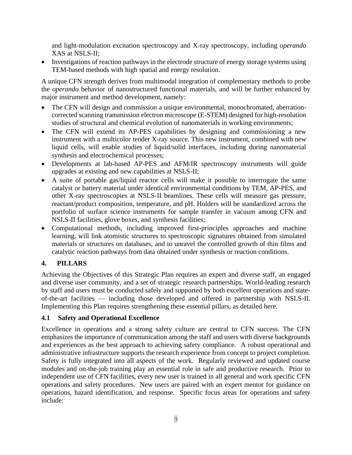and light-modulation excitation spectroscopy and X-ray spectroscopy, including *operando* XAS at NSLS-II;

• Investigations of reaction pathways in the electrode structure of energy storage systems using TEM-based methods with high spatial and energy resolution.

A unique CFN strength derives from multimodal integration of complementary methods to probe the *operando* behavior of nanostructured functional materials, and will be further enhanced by major instrument and method development, namely:

- The CFN will design and commission a unique environmental, monochromated, aberrationcorrected scanning transmission electron microscope (E-STEM) designed for high-resolution studies of structural and chemical evolution of nanomaterials in working environments;
- The CFN will extend its AP-PES capabilities by designing and commissioning a new instrument with a multicolor tender X-ray source. This new instrument, combined with new liquid cells, will enable studies of liquid/solid interfaces, including during nanomaterial synthesis and electrochemical processes;
- Developments at lab-based AP-PES and AFM/IR spectroscopy instruments will guide upgrades at existing and new capabilities at NSLS-II;
- A suite of portable gas/liquid reactor cells will make it possible to interrogate the same catalyst or battery material under identical environmental conditions by TEM, AP-PES, and other X-ray spectroscopies at NSLS-II beamlines. These cells will measure gas pressure, reactant/product composition, temperature, and pH. Holders will be standardized across the portfolio of surface science instruments for sample transfer in vacuum among CFN and NSLS-II facilities, glove boxes, and synthesis facilities;
- Computational methods, including improved first-principles approaches and machine learning, will link atomistic structures to spectroscopic signatures obtained from simulated materials or structures on databases, and to unravel the controlled growth of thin films and catalytic reaction pathways from data obtained under synthesis or reaction conditions.

## <span id="page-12-0"></span>**4. PILLARS**

Achieving the Objectives of this Strategic Plan requires an expert and diverse staff, an engaged and diverse user community, and a set of strategic research partnerships. World-leading research by staff and users must be conducted safely and supported by both excellent operations and stateof-the-art facilities — including those developed and offered in partnership with NSLS-II. Implementing this Plan requires strengthening these essential pillars, as detailed here.

#### <span id="page-12-1"></span>**4.1 Safety and Operational Excellence**

Excellence in operations and a strong safety culture are central to CFN success. The CFN emphasizes the importance of communication among the staff and users with diverse backgrounds and experiences as the best approach to achieving safety compliance. A robust operational and administrative infrastructure supports the research experience from concept to project completion. Safety is fully integrated into all aspects of the work. Regularly reviewed and updated course modules and on-the-job training play an essential role in safe and productive research. Prior to independent use of CFN facilities, every new user is trained in all general and work specific CFN operations and safety procedures. New users are paired with an expert mentor for guidance on operations, hazard identification, and response. Specific focus areas for operations and safety include: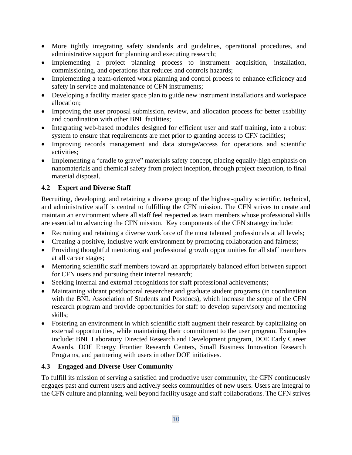- More tightly integrating safety standards and guidelines, operational procedures, and administrative support for planning and executing research;
- Implementing a project planning process to instrument acquisition, installation, commissioning, and operations that reduces and controls hazards;
- Implementing a team-oriented work planning and control process to enhance efficiency and safety in service and maintenance of CFN instruments;
- Developing a facility master space plan to guide new instrument installations and workspace allocation;
- Improving the user proposal submission, review, and allocation process for better usability and coordination with other BNL facilities;
- Integrating web-based modules designed for efficient user and staff training, into a robust system to ensure that requirements are met prior to granting access to CFN facilities;
- Improving records management and data storage/access for operations and scientific activities;
- Implementing a "cradle to grave" materials safety concept, placing equally-high emphasis on nanomaterials and chemical safety from project inception, through project execution, to final material disposal.

## <span id="page-13-0"></span>**4.2 Expert and Diverse Staff**

Recruiting, developing, and retaining a diverse group of the highest-quality scientific, technical, and administrative staff is central to fulfilling the CFN mission. The CFN strives to create and maintain an environment where all staff feel respected as team members whose professional skills are essential to advancing the CFN mission. Key components of the CFN strategy include:

- Recruiting and retaining a diverse workforce of the most talented professionals at all levels;
- Creating a positive, inclusive work environment by promoting collaboration and fairness;
- Providing thoughtful mentoring and professional growth opportunities for all staff members at all career stages;
- Mentoring scientific staff members toward an appropriately balanced effort between support for CFN users and pursuing their internal research;
- Seeking internal and external recognitions for staff professional achievements;
- Maintaining vibrant postdoctoral researcher and graduate student programs (in coordination with the BNL Association of Students and Postdocs), which increase the scope of the CFN research program and provide opportunities for staff to develop supervisory and mentoring skills;
- Fostering an environment in which scientific staff augment their research by capitalizing on external opportunities, while maintaining their commitment to the user program. Examples include: BNL Laboratory Directed Research and Development program, DOE Early Career Awards, DOE Energy Frontier Research Centers, Small Business Innovation Research Programs, and partnering with users in other DOE initiatives.

## <span id="page-13-1"></span>**4.3 Engaged and Diverse User Community**

To fulfill its mission of serving a satisfied and productive user community, the CFN continuously engages past and current users and actively seeks communities of new users. Users are integral to the CFN culture and planning, well beyond facility usage and staff collaborations. The CFN strives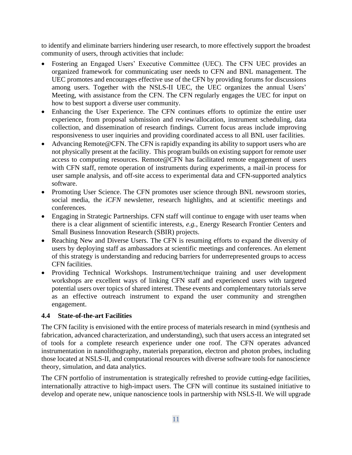to identify and eliminate barriers hindering user research, to more effectively support the broadest community of users, through activities that include:

- Fostering an Engaged Users' Executive Committee (UEC). The CFN UEC provides an organized framework for communicating user needs to CFN and BNL management. The UEC promotes and encourages effective use of the CFN by providing forums for discussions among users. Together with the NSLS-II UEC, the UEC organizes the annual Users' Meeting, with assistance from the CFN. The CFN regularly engages the UEC for input on how to best support a diverse user community.
- Enhancing the User Experience. The CFN continues efforts to optimize the entire user experience, from proposal submission and review/allocation, instrument scheduling, data collection, and dissemination of research findings. Current focus areas include improving responsiveness to user inquiries and providing coordinated access to all BNL user facilities.
- Advancing Remote@CFN. The CFN is rapidly expanding its ability to support users who are not physically present at the facility. This program builds on existing support for remote user access to computing resources. Remote@CFN has facilitated remote engagement of users with CFN staff, remote operation of instruments during experiments, a mail-in process for user sample analysis, and off-site access to experimental data and CFN-supported analytics software.
- Promoting User Science. The CFN promotes user science through BNL newsroom stories, social media, the *iCFN* newsletter, research highlights, and at scientific meetings and conferences.
- Engaging in Strategic Partnerships. CFN staff will continue to engage with user teams when there is a clear alignment of scientific interests, *e.g.*, Energy Research Frontier Centers and Small Business Innovation Research (SBIR) projects.
- Reaching New and Diverse Users. The CFN is resuming efforts to expand the diversity of users by deploying staff as ambassadors at scientific meetings and conferences. An element of this strategy is understanding and reducing barriers for underrepresented groups to access CFN facilities.
- Providing Technical Workshops. Instrument/technique training and user development workshops are excellent ways of linking CFN staff and experienced users with targeted potential users over topics of shared interest. These events and complementary tutorials serve as an effective outreach instrument to expand the user community and strengthen engagement.

#### <span id="page-14-0"></span>**4.4 State-of-the-art Facilities**

The CFN facility is envisioned with the entire process of materials research in mind (synthesis and fabrication, advanced characterization, and understanding), such that users access an integrated set of tools for a complete research experience under one roof. The CFN operates advanced instrumentation in nanolithography, materials preparation, electron and photon probes, including those located at NSLS-II, and computational resources with diverse software tools for nanoscience theory, simulation, and data analytics.

The CFN portfolio of instrumentation is strategically refreshed to provide cutting-edge facilities, internationally attractive to high-impact users. The CFN will continue its sustained initiative to develop and operate new, unique nanoscience tools in partnership with NSLS-II. We will upgrade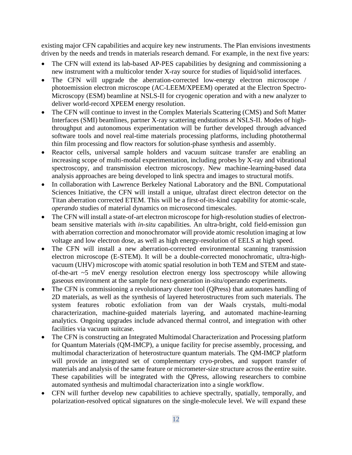existing major CFN capabilities and acquire key new instruments. The Plan envisions investments driven by the needs and trends in materials research demand. For example, in the next five years:

- The CFN will extend its lab-based AP-PES capabilities by designing and commissioning a new instrument with a multicolor tender X-ray source for studies of liquid/solid interfaces.
- The CFN will upgrade the aberration-corrected low-energy electron microscope / photoemission electron microscope (AC-LEEM/XPEEM) operated at the Electron Spectro-Microscopy (ESM) beamline at NSLS-II for cryogenic operation and with a new analyzer to deliver world-record XPEEM energy resolution.
- The CFN will continue to invest in the Complex Materials Scattering (CMS) and Soft Matter Interfaces (SMI) beamlines, partner X-ray scattering endstations at NSLS-II. Modes of highthroughput and autonomous experimentation will be further developed through advanced software tools and novel real-time materials processing platforms, including photothermal thin film processing and flow reactors for solution-phase synthesis and assembly.
- Reactor cells, universal sample holders and vacuum suitcase transfer are enabling an increasing scope of multi-modal experimentation, including probes by X-ray and vibrational spectroscopy, and transmission electron microscopy. New machine-learning-based data analysis approaches are being developed to link spectra and images to structural motifs.
- In collaboration with Lawrence Berkeley National Laboratory and the BNL Computational Sciences Initiative, the CFN will install a unique, ultrafast direct electron detector on the Titan aberration corrected ETEM. This will be a first-of-its-kind capability for atomic-scale, *operando* studies of material dynamics on microsecond timescales.
- The CFN will install a state-of-art electron microscope for high-resolution studies of electronbeam sensitive materials with *in-situ* capabilities. An ultra-bright, cold field-emission gun with aberration correction and monochromator will provide atomic resolution imaging at low voltage and low electron dose, as well as high energy-resolution of EELS at high speed.
- The CFN will install a new aberration-corrected environmental scanning transmission electron microscope (E-STEM). It will be a double-corrected monochromatic, ultra-highvacuum (UHV) microscope with atomic spatial resolution in both TEM and STEM and stateof-the-art ~5 meV energy resolution electron energy loss spectroscopy while allowing gaseous environment at the sample for next-generation in-situ/operando experiments.
- The CFN is commissioning a revolutionary cluster tool (QPress) that automates handling of 2D materials, as well as the synthesis of layered heterostructures from such materials. The system features robotic exfoliation from van der Waals crystals, multi-modal characterization, machine-guided materials layering, and automated machine-learning analytics. Ongoing upgrades include advanced thermal control, and integration with other facilities via vacuum suitcase.
- The CFN is constructing an Integrated Multimodal Characterization and Processing platform for Quantum Materials (QM-IMCP), a unique facility for precise assembly, processing, and multimodal characterization of heterostructure quantum materials. The QM-IMCP platform will provide an integrated set of complementary cryo-probes, and support transfer of materials and analysis of the same feature or micrometer-size structure across the entire suite. These capabilities will be integrated with the QPress, allowing researchers to combine automated synthesis and multimodal characterization into a single workflow.
- CFN will further develop new capabilities to achieve spectrally, spatially, temporally, and polarization-resolved optical signatures on the single-molecule level. We will expand these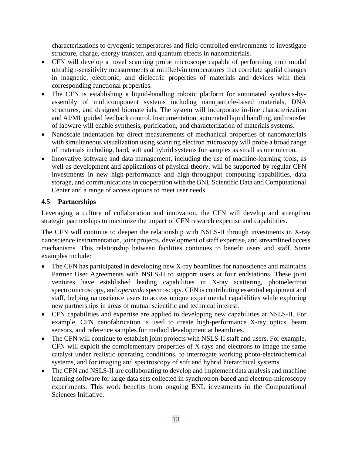characterizations to cryogenic temperatures and field-controlled environments to investigate structure, charge, energy transfer, and quantum effects in nanomaterials.

- CFN will develop a novel scanning probe microscope capable of performing multimodal ultrahigh-sensitivity measurements at millikelvin temperatures that correlate spatial changes in magnetic, electronic, and dielectric properties of materials and devices with their corresponding functional properties.
- The CFN is establishing a liquid-handling robotic platform for automated synthesis-byassembly of multicomponent systems including nanoparticle-based materials, DNA structures, and designed biomaterials. The system will incorporate in-line characterization and AI/ML guided feedback control. Instrumentation, automated liquid handling, and transfer of labware will enable synthesis, purification, and characterization of materials systems.
- Nanoscale indentation for direct measurements of mechanical properties of nanomaterials with simultaneous visualization using scanning electron microscopy will probe a broad range of materials including, hard, soft and hybrid systems for samples as small as one micron.
- Innovative software and data management, including the use of machine-learning tools, as well as development and applications of physical theory, will be supported by regular CFN investments in new high-performance and high-throughput computing capabilities, data storage, and communications in cooperation with the BNL Scientific Data and Computational Center and a range of access options to meet user needs.

#### <span id="page-16-0"></span>**4.5 Partnerships**

Leveraging a culture of collaboration and innovation, the CFN will develop and strengthen strategic partnerships to maximize the impact of CFN research expertise and capabilities.

The CFN will continue to deepen the relationship with NSLS-II through investments in X-ray nanoscience instrumentation, joint projects, development of staff expertise, and streamlined access mechanisms. This relationship between facilities continues to benefit users and staff. Some examples include:

- The CFN has participated in developing new X-ray beamlines for nanoscience and maintains Partner User Agreements with NSLS-II to support users at four endstations. These joint ventures have established leading capabilities in X-ray scattering, photoelectron spectromicroscopy, and *operando* spectroscopy. CFN is contributing essential equipment and staff, helping nanoscience users to access unique experimental capabilities while exploring new partnerships in areas of mutual scientific and technical interest.
- CFN capabilities and expertise are applied to developing new capabilities at NSLS-II. For example, CFN nanofabrication is used to create high-performance X-ray optics, beam sensors, and reference samples for method development at beamlines.
- The CFN will continue to establish joint projects with NSLS-II staff and users. For example, CFN will exploit the complementary properties of X-rays and electrons to image the same catalyst under realistic operating conditions, to interrogate working photo-electrochemical systems, and for imaging and spectroscopy of soft and hybrid hierarchical systems.
- The CFN and NSLS-II are collaborating to develop and implement data analysis and machine learning software for large data sets collected in synchrotron-based and electron-microscopy experiments. This work benefits from ongoing BNL investments in the Computational Sciences Initiative.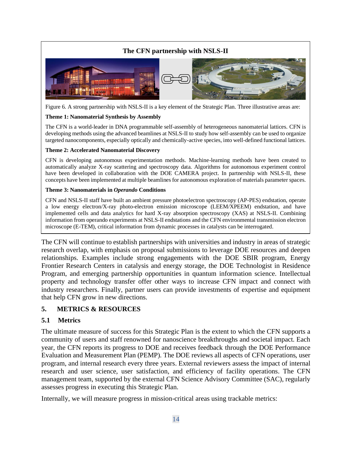## **The CFN partnership with NSLS-II**



Figure 6. A strong partnership with NSLS-II is a key element of the Strategic Plan. Three illustrative areas are:

#### **Theme 1: Nanomaterial Synthesis by Assembly**

The CFN is a world-leader in DNA programmable self-assembly of heterogeneous nanomaterial lattices. CFN is developing methods using the advanced beamlines at NSLS-II to study how self-assembly can be used to organize targeted nanocomponents, especially optically and chemically-active species, into well-defined functional lattices.

#### **Theme 2: Accelerated Nanomaterial Discovery**

CFN is developing autonomous experimentation methods. Machine-learning methods have been created to automatically analyze X-ray scattering and spectroscopy data. Algorithms for autonomous experiment control have been developed in collaboration with the DOE CAMERA project. In partnership with NSLS-II, these concepts have been implemented at multiple beamlines for autonomous exploration of materials parameter spaces.

#### **Theme 3: Nanomaterials in** *Operando* **Conditions**

CFN and NSLS-II staff have built an ambient pressure photoelectron spectroscopy (AP-PES) endstation, operate a low energy electron/X-ray photo-electron emission microscope (LEEM/XPEEM) endstation, and have implemented cells and data analytics for hard X-ray absorption spectroscopy (XAS) at NSLS-II. Combining information from operando experiments at NSLS-II endstations and the CFN environmental transmission electron microscope (E-TEM), critical information from dynamic processes in catalysts can be interrogated.

The CFN will continue to establish partnerships with universities and industry in areas of strategic research overlap, with emphasis on proposal submissions to leverage DOE resources and deepen relationships. Examples include strong engagements with the DOE SBIR program, Energy Frontier Research Centers in catalysis and energy storage, the DOE Technologist in Residence Program, and emerging partnership opportunities in quantum information science. Intellectual property and technology transfer offer other ways to increase CFN impact and connect with industry researchers. Finally, partner users can provide investments of expertise and equipment that help CFN grow in new directions.

#### <span id="page-17-0"></span>**5. METRICS & RESOURCES**

#### <span id="page-17-1"></span>**5.1 Metrics**

The ultimate measure of success for this Strategic Plan is the extent to which the CFN supports a community of users and staff renowned for nanoscience breakthroughs and societal impact. Each year, the CFN reports its progress to DOE and receives feedback through the DOE Performance Evaluation and Measurement Plan (PEMP). The DOE reviews all aspects of CFN operations, user program, and internal research every three years. External reviewers assess the impact of internal research and user science, user satisfaction, and efficiency of facility operations. The CFN management team, supported by the external CFN Science Advisory Committee (SAC), regularly assesses progress in executing this Strategic Plan.

Internally, we will measure progress in mission-critical areas using trackable metrics: